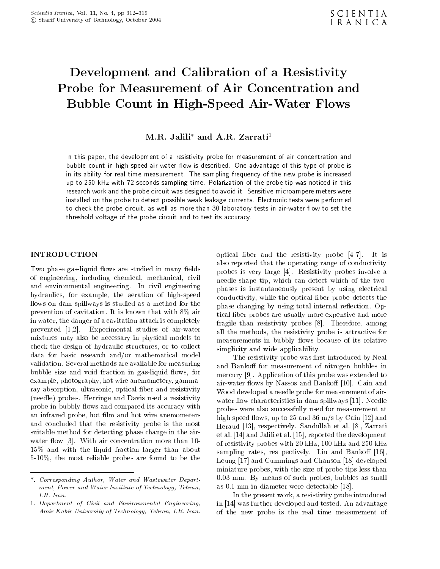# Development and Calibration of <sup>a</sup> Resistivity Probe for Measurement of Air Concentration and Bubble Count in High-Speed Air-Water Flows

# $M.R.$  Jalili<sup>\*</sup> and A.R. Zarrati<sup>1</sup>

In this paper, the development of a resistivity probe for measurement of air concentration and bubble count in high-speed air-water 
ow is described. One advantage of this type of probe is in its ability for real time measurement. The sampling frequency of the new probe is increased up to 250 kHz with 72 seconds sampling time. Polarization of the probe tip was noticed in this research work and the probe circuit was designed to avoid it. Sensitive microampere meters were installed on the probe to detect possible weak leakage currents. Electronic tests were performed to check the probe circuit, as well as more than 30 laboratory tests in air-water 
ow to set the threshold voltage of the probe circuit and to test its accuracy.

Two phase gas-liquid flows are studied in many fields of engineering, including chemical, mechanical, civil and environmental engineering. In civil engineering hydraulics, for example, the aeration of high-speed flows on dam spillways is studied as a method for the prevention of cavitation. It is known that with 8% air in water, the danger of a cavitation attack is completely prevented [1,2]. Experimental studies of air-water mixtures may also be necessary in physical models to check the design of hydraulic structures, or to collect data for basic research and/or mathematical model validation. Several methods are available for measuring bubble size and void fraction in gas-liquid flows, for example, photography, hot wire anemometery, gammaray absorption, ultrasonic, optical ber and resistivity (needle) probes. Herringe and Davis used a resistivity probe in bubbly flows and compared its accuracy with an infrared probe, hot film and hot wire anemometers and concluded that the resistivity probe is the most suitable method for detecting phase change in the airwater flow  $[3]$ . With air concentration more than 10-15% and with the liquid fraction larger than about 5-10%, the most reliable probes are found to be the optical ber and the resistivity probe [4-7]. It is also reported that the operating range of conductivity probes is very large [4]. Resistivity probes involve <sup>a</sup> needle-shape tip, which can detect which of the twophases is instantaneously present by using electrical conductivity, while the optical ber probe detects the phase changing by using total internal reflection. Optical fiber probes are usually more expensive and more fragile than resistivity probes [8]. Therefore, among all the methods, the resistivity probe is attractive for measurements in bubbly flows because of its relative simplicity and wide applicability.

The resistivity probe was first introduced by Neal and Bankoff for measurement of nitrogen bubbles in mercury [9]. Application of this probe was extended to air-water flows by Nassos and Bankoff [10]. Cain and Wood developed a needle probe for measurement of airwater flow characteristics in dam spillways [11]. Needle probes were also successfully used for measurement at high speed flows, up to 25 and 36 m/s by Cain [12] and Heraud [13], respectively. Sandullah et al. [8], Zarrati et al. [14] and Jalili et al. [15], reported the development of resistivity probes with 20 kHz, 100 kHz and 250 kHz sampling rates, res pectively. Liu and Bankoff  $[16]$ , Leung [17] and Cummings and Chanson [18] developed miniature probes, with the size of probe tips less than 0.03 mm. By means of such probes, bubbles as small as 0.1 mm in diameter were detectable [18].

In the present work, a resistivity probe introduced in [14] was further developed and tested. An advantage of the new probe is the real time measurement of

<sup>\*.</sup> Corresponding Author, Water and Wastewater Department, Power and Water Institute of Technology, Tehran, I.R. Iran.

<sup>1.</sup> Department of Civil and Environmental Engineering, Amir Kabir University of Technology, Tehran, I.R. Iran.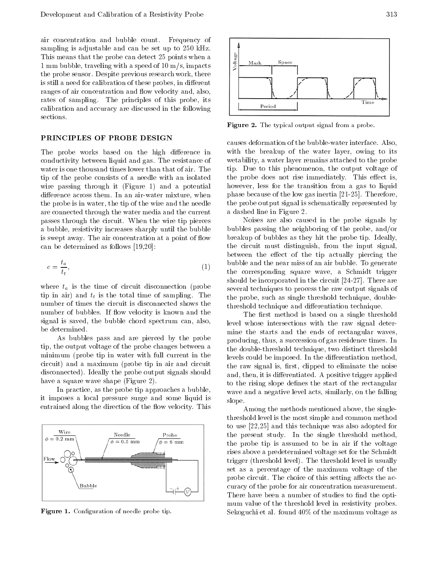air concentration and bubble count. Frequency of sampling is adjustable and can be set up to 250 kHz. This means that the probe can detect 25 points when a<br>1 mm bubble, traveling with a speed of 10 m/s, impacts <sup>1</sup> mm bubble, traveling with a speed of 10 m/s, impacts the probe sensor. Despite previous research work, there is still a need for calibration of these probes, in different ranges of air concentration and flow velocity and, also, rates of sampling. The principles of this probe, its calibration and accuracy are discussed in the following sections.

### PRINCIPLES OF PROBE DESIGN

The probe works based on the high difference in conductivity between liquid and gas. The resistance of water is one thousand times lower than that of air. The tip of the probe consists of <sup>a</sup> needle with an isolated wire passing through it (Figure 1) and a potential difference across them. In an air-water mixture, when the probe is in water, the tip of the wire and the needle are connected through the water media and the current passes through the circuit. When the wire tip pierces <sup>a</sup> bubble, resistivity increases sharply until the bubble is swept away. The air concentration at a point of flow can be determined as follows [19,20]:

$$
c = \frac{t_a}{t_t},
$$
\n<sup>(1)</sup>

where  $t_a$  is the time of circuit disconnection (probe tip in air) and  $t_t$  is the total time of sampling. The number of times the circuit is disconnected shows the number of bubbles. If flow velocity is known and the signal is saved, the bubble chord spectrum can, also, be determined.

As bubbles pass and are pierced by the probe tip, the output voltage of the probe changes between a minimum (probe tip in water with full current in the circuit) and <sup>a</sup> maximum (probe tip in air and circuit disconnected). Ideally the probe output signals should have a square wave shape (Figure 2).

In practice, as the probe tip approaches a bubble, it imposes <sup>a</sup> local pressure surge and some liquid is entrained along the direction of the flow velocity. This



Figure 1. Conguration of needle probe tip.



Figure 2. The typical output signal from a probe.

causes deformation of the bubble-water interface. Also, with the breakup of the water layer, owing to its wetability, a water layer remains attached to the probe tip. Due to this phenomenon, the output voltage of the probe does not rise immediately. This effect is, however, less for the transition from <sup>a</sup> gas to liquid phase because of the low gas inertia [21-25]. Therefore, the probe output signal is schematically represented by a dashed line in Figure 2.

Noises are also caused in the probe signals by bubbles passing the neighboring of the probe, and/or breakup of bubbles as they hit the probe tip. Ideally, the circuit must distinguish, from the input signal, between the effect of the tip actually piercing the bubble and the near miss of an air bubble. To generate the corresponding square wave, <sup>a</sup> Schmidt trigger should be incorporated in the circuit [24-27]. There are several techniques to process the raw output signals of the probe, such as single threshold technique, doublethreshold technique and differentiation technique.

The first method is based on a single threshold level whose intersections with the raw signal determine the starts and the ends of rectangular waves, producing, thus, a succession of gas residence times. In the double-threshold technique, two distinct threshold levels could be imposed. In the differentiation method, the raw signal is, first, clipped to eliminate the noise and, then, it is differentiated. A positive trigger applied to the rising slope defines the start of the rectangular wave and a negative level acts, similarly, on the falling slope.

Among the methods mentioned above, the singlethreshold level is the most simple and common method to use [22,25] and this technique was also adopted for the present study. In the single threshold method, the probe tip is assumed to be in air if the voltage rises above a predetermined voltage set for the Schmidt trigger (threshold level). The threshold level is usually set as <sup>a</sup> percentage of the maximum voltage of the probe circuit. The choice of this setting affects the accuracy of the probe for air concentration measurement. There have been a number of studies to find the optimum value of the threshold level in resistivity probes. Sekoguchi et al. found 40% of the maximum voltage as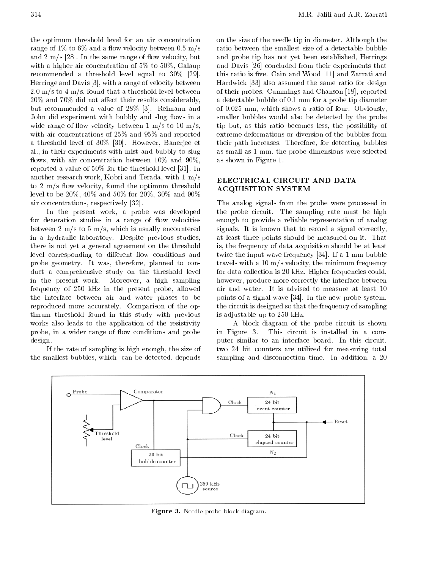the optimum threshold level for an air concentration range of  $1\%$  to 6% and a flow velocity between 0.5 m/s and  $2 \text{ m/s}$  [28]. In the same range of flow velocity, but with a higher air concentration of 5% to 50%, Galaup recommended <sup>a</sup> threshold level equal to 30% [29]. Herringe and Davis [3], with a range of velocity between  $2.0 \text{ m/s}$  to  $4 \text{ m/s}$ , found that a threshold level between  $20\%$  and  $70\%$  did not affect their results considerably, but recommended <sup>a</sup> value of 28% [3]. Reimann and John did experiment with bubbly and slug flows in a wide range of flow velocity between 1 m/s to 10 m/s, with air concentrations of 25% and 95% and reported <sup>a</sup> threshold level of 30% [30]. However, Banerjee et al., in their experiments with mist and bubbly to slug flows, with air concentration between  $10\%$  and  $90\%$ , reported a value of 50% for the threshold level [31]. In another research work, Kobri and Terada, with 1 m/s to  $2 \text{ m/s}$  flow velocity, found the optimum threshold level to be 20%, 40% and 50% for 20%, 30% and 90% air concentrations, respectively [32].

In the present work, <sup>a</sup> probe was developed for deaeration studies in a range of flow velocities between  $2 \text{ m/s}$  to  $5 \text{ m/s}$ , which is usually encountered in <sup>a</sup> hydraulic laboratory. Despite previous studies, there is not yet a general agreement on the threshold level corresponding to different flow conditions and probe geometry. It was, therefore, planned to conduct <sup>a</sup> comprehensive study on the threshold level in the present work. Moreover, <sup>a</sup> high sampling frequency of <sup>250</sup> kHz in the present probe, allowed the interface between air and water phases to be reproduced more accurately. Comparison of the optimum threshold found in this study with previous works also leads to the application of the resistivity probe, in a wider range of flow conditions and probe in Figure 3. design.

If the rate of sampling is high enough, the size of the smallest bubbles, which can be detected, depends on the size of the needle tip in diameter. Although the ratio between the smallest size of a detectable bubble and probe tip has not yet been established, Herrings and Davis [26] concluded from their experiments that this ratio is five. Cain and Wood [11] and Zarrati and Hardwick [33] also assumed the same ratio for design of their probes. Cummings and Chanson [18], reported <sup>a</sup> detectable bubble of 0.1 mm for a probe tip diameter of 0.025 mm, which shows a ratio of four. Obviously, smaller bubbles would also be detected by the probe tip but, as this ratio becomes less, the possibility of extreme deformations or diversion of the bubbles from their path increases. Therefore, for detecting bubbles as small as 1 mm, the probe dimensions were selected as shown in Figure 1.

## ELECTRICAL CIRCUIT AND DATA ACQUISITION SYSTEM

The analog signals from the probe were processed in the probe circuit. The sampling rate must be high enough to provide <sup>a</sup> reliable representation of analog signals. It is known that to record a signal correctly, at least three points should be measured on it. That is, the frequency of data acquisition should be at least twice the input wave frequency [34]. If a 1 mm bubble travels with a 10 m/s velocity, the minimum frequency for data collection is 20 kHz. Higher frequencies could, however, produce more correctly the interface between air and water. It is advised to measure at least <sup>10</sup> points of a signal wave [34]. In the new probe system, the circuit is designed so that the frequency of sampling is adjustable up to 250 kHz.

<sup>A</sup> block diagram of the probe circuit is shown This circuit is installed in a computer similar to an interface board. In this circuit, two <sup>24</sup> bit counters are utilized for measuring total sampling and disconnection time. In addition, <sup>a</sup> <sup>20</sup>



Figure 3. Needle probe block diagram.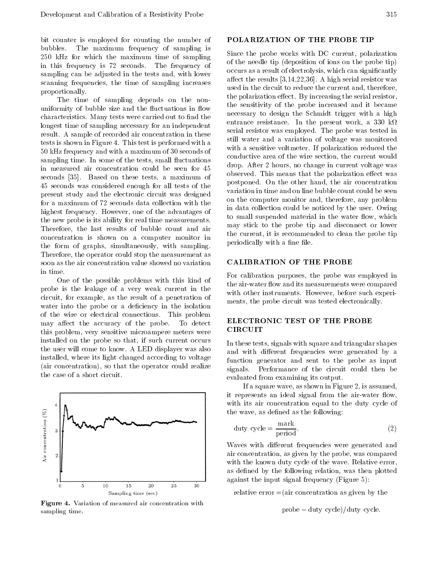bit counter is employed for counting the number of bubbles. The maximum frequency of sampling is 250 kHz for which the maximum time of sampling in this frequency is <sup>72</sup> seconds. The frequency of sampling can be adjusted in the tests and, with lower scanning frequencies, the time of sampling increases proportionally.

The time of sampling depends on the nonuniformity of bubble size and the fluctuations in flow characteristics. Many tests were carried out to find the longest time of sampling necessary for an independent result. A sample of recorded air concentration in these tests is shown in Figure 4. This test is performed with a <sup>50</sup> kHz frequency and with a maximum of 30 seconds of sampling time. In some of the tests, small fluctuations in measured air concentration could be seen for <sup>45</sup> seconds [35]. Based on these tests, <sup>a</sup> maximum of <sup>45</sup> seconds was considered enough for all tests of the present study and the electronic circuit was designed for a maximum of 72 seconds data collection with the highest frequency. However, one of the advantages of the new probe is its ability for real time measurements. Therefore, the last results of bubble count and air concentration is shown on <sup>a</sup> computer monitor in the form of graphs, simultaneously, with sampling. Therefore, the operator could stop the measurement as soon as the air concentration value showed no variation in time.

One of the possible problems with this kind of probe is the leakage of <sup>a</sup> very weak current in the circuit, for example, as the result of <sup>a</sup> penetration of water into the probe or a deficiency in the isolation of the wire or electrical connections. This problem<br>may effect the ecouragy of the problem ELECTRONIC TEST OF THE PROBE may affect the accuracy of the probe. To detect<br>this problem, you consitive misroempore meters were. CIRCUIT this problem, very sensitive microampere meters were installed on the probe so that, if such current occurs the user will come to know. A LED displayer was also installed, where its light changed according to voltage (air concentration), so that the operator could realize the case of a short circuit.



Figure 4. Variation of measured air concentration with sampling time.

## POLARIZATION OF THE PROBE TIP

Since the probe works with DC current, polarization of the needle tip (deposition of ions on the probe tip) occurs as a result of electrolysis, which can signicantly affect the results  $[3,14,22,36]$ . A high serial resistor was used in the circuit to reduce the current and, therefore, the polarization effect. By increasing the serial resistor, the sensitivity of the probe increased and it became necessary to design the Schmidt trigger with <sup>a</sup> high entrance resistance. In the present work, a 330 k $\Omega$ serial resistor was employed. The probe was tested in still water and <sup>a</sup> variation of voltage was monitored with a sensitive voltmeter. If polarization reduced the conductive area of the wire section, the current would drop. After 2 hours, no change in current voltage was observed. This means that the polarization effect was postponed. On the other hand, the air concentration variation in time and on line bubble count could be seen on the computer monitor and, therefore, any problem in data collection could be noticed by the user. Owing to small suspended material in the water flow, which may stick to the probe tip and disconnect or lower the current, it is recommended to clean the probe tip periodically with a fine file.

# CALIBRATION OF THE PROBE

For calibration purposes, the probe was employed in the air-water flow and its measurements were compared with other instruments. However, before such experiments, the probe circuit was tested electronically.

In these tests, signals with square and triangular shapes and with different frequencies were generated by a function generator and sent to the probe as input signals. Performance of the circuit could then be evaluated from examining its output.

If a square wave, as shown in Figure 2, is assumed, it represents an ideal signal from the air-water flow, with its air concentration equal to the duty cycle of the wave, as defined as the following:

$$
duty cycle = \frac{mark}{period}.
$$
\n(2)

Waves with different frequencies were generated and air concentration, as given by the probe, was compared with the known duty cycle of the wave. Relative error, as defined by the following relation, was then plotted against the input signal frequency (Figure 5):

relative error  $=$ (air concentration as given by the

probe duty cycle)/duty cycle.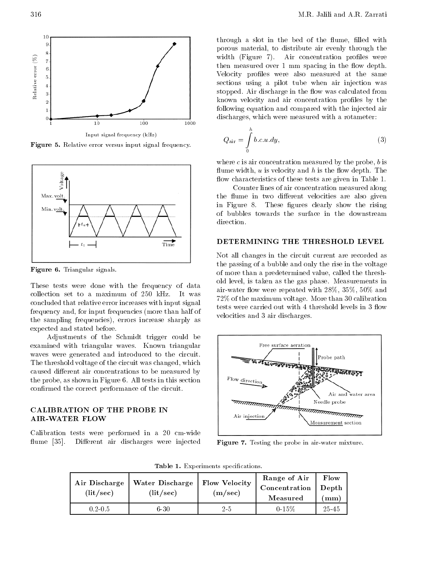

Figure 5. Relative error versus input signal frequency.



Figure 6. Triangular signals.

These tests were done with the frequency of data collection set to <sup>a</sup> maximum of <sup>250</sup> kHz. It was concluded that relative error increases with input signal frequency and, for input frequencies (more than half of the sampling frequencies), errors increase sharply as expected and stated before.

Adjustments of the Schmidt trigger could be examined with triangular waves. Known triangular waves were generated and introduced to the circuit. The threshold voltage of the circuit was changed, which caused different air concentrations to be measured by<br>  $\begin{array}{c} \hbox{the proba as shown in Figure 6. All tests in this section} \end{array}$  Flow direction the probe, as shown in Figure 6. All tests in this section confirmed the correct performance of the circuit.

# AIR-WATER FLOW

Calibration tests were performed in <sup>a</sup> <sup>20</sup> cm-wide flume [35]. Different air discharges were injected

through a slot in the bed of the flume, filled with porous material, to distribute air evenly through the width (Figure 7). Air concentration profiles were then measured over 1 mm spacing in the flow depth. Velocity profiles were also measured at the same sections using <sup>a</sup> pilot tube when air injection was stopped. Air discharge in the flow was calculated from known velocity and air concentration profiles by the following equation and compared with the injected air discharges, which were measured with a rotameter:

$$
Q_{\text{air}} = \int_{0}^{h} b.c.u. dy,
$$
\n(3)

where  $c$  is air concentration measured by the probe,  $b$  is flume width,  $u$  is velocity and  $h$  is the flow depth. The flow characteristics of these tests are given in Table 1.

Counter lines of air concentration measured along the flume in two different velocities are also given in Figure 8. These figures clearly show the rising of bubbles towards the surface in the downstream direction.

# DETERMINING THE THRESHOLD LEVEL

Not all changes in the circuit current are recorded as the passing of a bubble and only the rise in the voltage of more than a predetermined value, called the threshold level, is taken as the gas phase. Measurements in air-water flow were repeated with  $28\%$ ,  $35\%$ ,  $50\%$  and 72% of the maximum voltage. More than 30 calibration tests were carried out with 4 threshold levels in 3 flow velocities and 3 air discharges.



Figure 7. Testing the probe in air-water mixture.

Table 1. Experiments specications.

| Air Discharge<br>(lit/sec) | Water Discharge<br>(lit/sec) | Flow Velocity<br>(m/sec) | Range of Air<br>Concentration Depth<br>Measured | Flow<br>mm |
|----------------------------|------------------------------|--------------------------|-------------------------------------------------|------------|
| $0.2 \cdot 0.5$            | 6.30                         | 25                       | 0.15%                                           | 25.45      |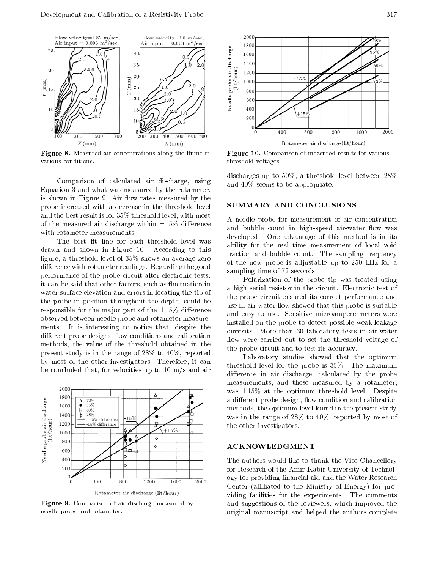

Figure 8. Measured air concentrations along the 
ume in various conditions.

Comparison of calculated air discharge, using Equation 3 and what was measured by the rotameter, is shown in Figure 9. Air flow rates measured by the probe increased with a decrease in the threshold level and the best result is for 35% threshold level, with most of the measured air discharge within  $\pm 15\%$  difference with rotameter measurements.

The best fit line for each threshold level was drawn and shown in Figure 10. According to this figure, a threshold level of  $35\%$  shows an average zero difference with rotameter readings. Regarding the good performance of the probe circuit after electronic tests, it can be said that other factors, such as fluctuation in water surface elevation and errors in locating the tip of the probe in position throughout the depth, could be responsible for the major part of the  $\pm 15\%$  difference observed between needle probe and rotameter measurements. It is interesting to notice that, despite the different probe designs, flow conditions and calibration methods, the value of the threshold obtained in the present study is in the range of 28% to 40%, reported by most of the other investigators. Therefore, it can be concluded that, for velocities up to 10 m/s and air



Figure 9. Comparison of air discharge measured by needle probe and rotameter.



Figure 10. Comparison of measured results for various threshold voltages.

discharges up to 50%, <sup>a</sup> threshold level between 28% and 40% seems to be appropriate.

# SUMMARY AND CONCLUSIONS

<sup>A</sup> needle probe for measurement of air concentration and bubble count in high-speed air-water flow was developed. One advantage of this method is in its ability for the real time measurement of local void fraction and bubble count. The sampling frequency of the new probe is adjustable up to <sup>250</sup> kHz for <sup>a</sup> sampling time of 72 seconds.

Polarization of the probe tip was treated using <sup>a</sup> high serial resistor in the circuit. Electronic test of the probe circuit ensured its correct performance and use in air-water flow showed that this probe is suitable and easy to use. Sensitive microampere meters were installed on the probe to detect possible weak leakage currents. More than <sup>30</sup> laboratory tests in air-water flow were carried out to set the threshold voltage of the probe circuit and to test its accuracy.

Laboratory studies showed that the optimum threshold level for the probe is 35%. The maximum difference in air discharge, calculated by the probe measurements, and those measured by <sup>a</sup> rotameter, was  $\pm 15\%$  at the optimum threshold level. Despite a different probe design, flow condition and calibration methods, the optimum level found in the present study was in the range of 28% to 40%, reported by most of the other investigators.

# ACKNOWLEDGMENT

The authors would like to thank the Vice Chancellery for Research of the Amir Kabir University of Technology for providing financial aid and the Water Research Center (affiliated to the Ministry of Energy) for providing facilities for the experiments. The comments and suggestions of the reviewers, which improved the original manuscript and helped the authors complete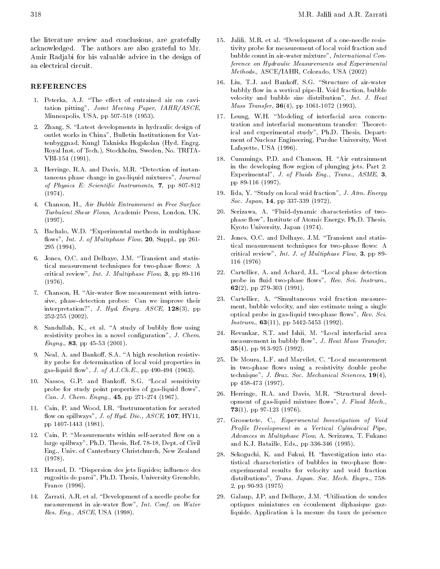the literature review and conclusions, are gratefully acknowledged. The authors are also grateful to Mr. Amir Radjabi for his valuable advice in the design of an electrical circuit.

### REFERENCES

- 1. Peterka, A.J. "The effect of entrained air on cavitation pitting", Joint Meeting Paper, IAHR/ASCE, Minneapolis, USA, pp 507-518 (1953).
- 2. Zhang, S. "Latest developments in hydraulic design of outlet works in China", Bulletin Institutionen for Vattenbyggnad, Kungl Takniska Hogskolan (Hyd. Engrg. Royal Inst. of Tech.), Stockholm, Sweden, No. TRITA-VBI-154 (1991).
- 3. Herringe, R.A. and Davis, M.R. "Detection of instantaneous phase change in gas-liquid mixtures", Journal of Physics E: Scientific Instruments, 7, pp 807-812 (1974).
- 4. Chanson, H., Air Bubble Entrainment in Free Surface Turbulent Shear Flows, Academic Press, London, UK.  $(1997)$  $\lambda = -1$
- 5. Bachalo, W.D. "Experimental methods in multiphase flows", Int. J. of Multiphase Flow,  $20$ , Suppl., pp 261-<sup>295</sup> (1994).
- 6. Jones, O.C. and Delhaye, J.M. \Transient and statistical measurement techniques for two-phase flows: A critical review", Int. J. Multiphase Flow, 3, pp 89-116 (1976).
- 7. Chanson, H. "Air-water flow measurement with intrusive, phase-detection probes: Can we improve their interpretation?", J. Hyd. Engrg.  $ASCE$ ,  $128(3)$ , pp 252-255 (2002).
- 8. Sandullah, K., et al. "A study of bubbly flow using resistivity probes in a novel configuration", J. Chem. Engng., 83, pp 45-53 (2001).
- 9. Neal, A. and Bankoff, S.A. "A high resolution resistivity probe for determination of local void properties in gas-liquid flow", *J. of A.I.Ch.E.*, pp 490-494 (1963).
- 10. Nassos, G.P. and Bankoff, S.G. "Local sensitivity probe for study point properties of gas-liquid flows", Can. J. Chem. Engng., 45, pp 271-274 (1967).
- 11. Cain, P. and Wood, I.R. \Instrumentation for aerated flow on spillways", J. of Hyd. Div.,  $ASCE$ , 107, HY11, pp 1407-1443 (1981).
- 12. Cain, P. "Measurements within self-aerated flow on a large spillway", Ph.D. Thesis, Ref. 78-18, Dept. of Civil Eng., Univ. of Canterbury Christchurch, New Zealand (1978).
- 13. Heraud, D. "Dispersion des jets liquides; influence des rugositis de paroi", Ph.D. Thesis, University Grenoble, France (1996).
- 14. Zarrati, A.R. et al. "Development of a needle probe for measurement in air-water flow", Int. Conf. on Water Res. Eng., ASCE, USA (1998).
- 15. Jalili, M.R. et al. "Development of a one-needle resistivity probe for measurement of local void fraction and bubble count in air-water mixture", International Conference on Hydraulic Measurements and Experimental Methods., ASCE/IAHR, Colorado, USA (2002)
- 16. Liu, T.J. and Bankoff, S.G. "Structure of air-water bubbly flow in a vertical pipe-II. Void fraction, bubble velocity and bubble size distribution", Int. J. Heat *Mass Transfer*,  $36(4)$ , pp 1061-1072 (1993).
- 17. Leung, W.H. "Modeling of interfacial area concentration and interfacial momentum transfer: Theoretical and experimental study", Ph.D. Thesis, Depart ment of Nuclear Engineering, Purdue University, West Lafayette, USA (1996).
- 18. Cummings, P.D. and Chanson, H. "Air entrainment in the developing flow region of plunging jets. Part 2: Experimental", J. of Fluids Eng., Trans., ASME, 3, pp 89-116 (1997).
- 19. Iida, Y. "Study on local void fraction", J. Atm. Energy Soc. Japan, 14, pp 337-339 (1972).
- 20. Serizawa, A. "Fluid-dynamic characteristics of twophase flow", Institute of Atomic Energy, Ph.D. Thesis, Kyoto University, Japan (1974).
- 21. Jones, O.C. and Delhaye, J.M. \Transient and statistical measurement techniques for two-phase flows: A critical review", Int. J. of Multiphase Flow, 3, pp 89- <sup>116</sup> (1976)
- 22. Cartellier, A. and Achard, J.L. "Local phase detection probe in fluid two-phase flows", Rev. Sci. Instrum., 62(2), pp 279-303 (1991).
- 23. Cartellier, A. "Simultaneous void fraction measurement, bubble velocity, and size estimate using a single optical probe in gas-liquid two-phase flows",  $Rev. Sci.$ *Instrum.*,  $63(11)$ , pp 5442-5453 (1992).
- 24. Revankar, S.T. and Ishii, M. "Local interfacial area measurement in bubbly flow", J. Heat Mass Transfer, 35(4), pp 913-925 (1992).
- 25. De Moura, L.F. and Marvilet, C. "Local measurement in two-phase flows using a resistivity double probe technique", J. Braz. Soc. Mechanical Sciences, 19(4), pp 458-473 (1997).
- 26. Herringe, R.A. and Davis, M.R. "Structural development of gas-liquid mixture flows", J. Fluid Mech., 73(1), pp 97-123 (1976).
- 27. Grossetete, C., Experimental Investigation of Void Profile Development in a Vertical Cylindrical Pipe, Advances in Multiphase Flow, A. Serizawa, T. Fukano and K.J. Bataille, Eds., pp 336-346 (1995).
- 28. Sekoguchi, K. and Fukui, H. \Investigation into statistical characteristics of bubbles in two-phase flowexperimental results for velocity and void fraction distributions", Trans. Japan. Soc. Mech. Engrs., 758- 2, pp 90-93 (1975)
- 29. Galaup, J.P. and Delhaye, J.M. \Utilisation de sondes optiques miniatures en ecoulement diphasique gazliquide. Application à la mesure du taux de présence